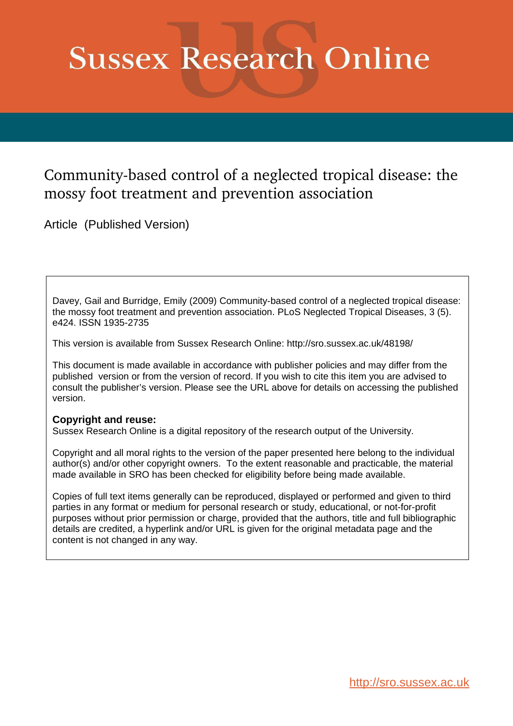# **Sussex Research Online**

# Community-based control of a neglected tropical disease: the mossy foot treatment and prevention association

Article (Published Version)

Davey, Gail and Burridge, Emily (2009) Community-based control of a neglected tropical disease: the mossy foot treatment and prevention association. PLoS Neglected Tropical Diseases, 3 (5). e424. ISSN 1935-2735

This version is available from Sussex Research Online: http://sro.sussex.ac.uk/48198/

This document is made available in accordance with publisher policies and may differ from the published version or from the version of record. If you wish to cite this item you are advised to consult the publisher's version. Please see the URL above for details on accessing the published version.

# **Copyright and reuse:**

Sussex Research Online is a digital repository of the research output of the University.

Copyright and all moral rights to the version of the paper presented here belong to the individual author(s) and/or other copyright owners. To the extent reasonable and practicable, the material made available in SRO has been checked for eligibility before being made available.

Copies of full text items generally can be reproduced, displayed or performed and given to third parties in any format or medium for personal research or study, educational, or not-for-profit purposes without prior permission or charge, provided that the authors, title and full bibliographic details are credited, a hyperlink and/or URL is given for the original metadata page and the content is not changed in any way.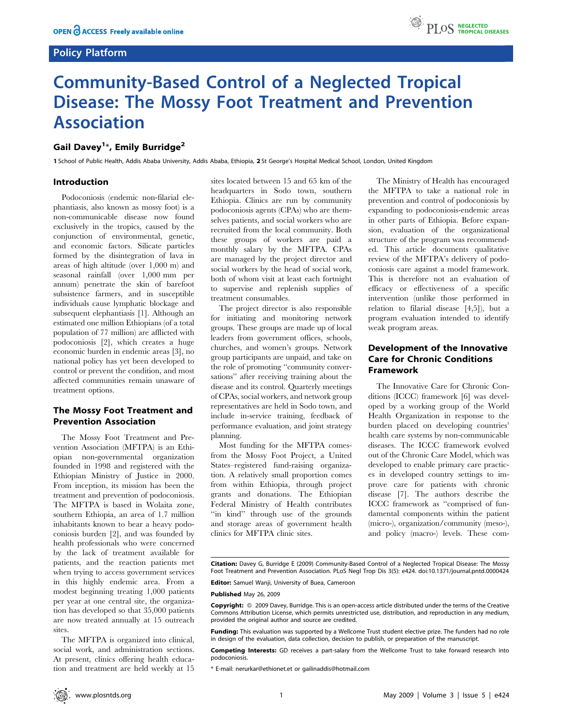# Policy Platform



# Community-Based Control of a Neglected Tropical Disease: The Mossy Foot Treatment and Prevention Association

# Gail Davey<sup>1</sup>\*, Emily Burridge<sup>2</sup>

1 School of Public Health, Addis Ababa University, Addis Ababa, Ethiopia, 2 St George's Hospital Medical School, London, United Kingdom

### Introduction

Podoconiosis (endemic non-filarial elephantiasis, also known as mossy foot) is a non-communicable disease now found exclusively in the tropics, caused by the conjunction of environmental, genetic, and economic factors. Silicate particles formed by the disintegration of lava in areas of high altitude (over 1,000 m) and seasonal rainfall (over 1,000 mm per annum) penetrate the skin of barefoot subsistence farmers, and in susceptible individuals cause lymphatic blockage and subsequent elephantiasis [1]. Although an estimated one million Ethiopians (of a total population of 77 million) are afflicted with podoconiosis [2], which creates a huge economic burden in endemic areas [3], no national policy has yet been developed to control or prevent the condition, and most affected communities remain unaware of treatment options.

# The Mossy Foot Treatment and Prevention Association

The Mossy Foot Treatment and Prevention Association (MFTPA) is an Ethiopian non-governmental organization founded in 1998 and registered with the Ethiopian Ministry of Justice in 2000. From inception, its mission has been the treatment and prevention of podoconiosis. The MFTPA is based in Wolaita zone, southern Ethiopia, an area of 1.7 million inhabitants known to bear a heavy podoconiosis burden [2], and was founded by health professionals who were concerned by the lack of treatment available for patients, and the reaction patients met when trying to access government services in this highly endemic area. From a modest beginning treating 1,000 patients per year at one central site, the organization has developed so that 35,000 patients are now treated annually at 15 outreach sites.

The MFTPA is organized into clinical, social work, and administration sections. At present, clinics offering health education and treatment are held weekly at 15 sites located between 15 and 65 km of the headquarters in Sodo town, southern Ethiopia. Clinics are run by community podoconiosis agents (CPAs) who are themselves patients, and social workers who are recruited from the local community. Both these groups of workers are paid a monthly salary by the MFTPA. CPAs are managed by the project director and social workers by the head of social work, both of whom visit at least each fortnight to supervise and replenish supplies of treatment consumables.

The project director is also responsible for initiating and monitoring network groups. These groups are made up of local leaders from government offices, schools, churches, and women's groups. Network group participants are unpaid, and take on the role of promoting ''community conversations'' after receiving training about the disease and its control. Quarterly meetings of CPAs, social workers, and network group representatives are held in Sodo town, and include in-service training, feedback of performance evaluation, and joint strategy planning.

Most funding for the MFTPA comesfrom the Mossy Foot Project, a United States–registered fund-raising organization. A relatively small proportion comes from within Ethiopia, through project grants and donations. The Ethiopian Federal Ministry of Health contributes "in kind" through use of the grounds and storage areas of government health clinics for MFTPA clinic sites.

The Ministry of Health has encouraged the MFTPA to take a national role in prevention and control of podoconiosis by expanding to podoconiosis-endemic areas in other parts of Ethiopia. Before expansion, evaluation of the organizational structure of the program was recommended. This article documents qualitative review of the MFTPA's delivery of podoconiosis care against a model framework. This is therefore not an evaluation of efficacy or effectiveness of a specific intervention (unlike those performed in relation to filarial disease [4,5]), but a program evaluation intended to identify weak program areas.

# Development of the Innovative Care for Chronic Conditions Framework

The Innovative Care for Chronic Conditions (ICCC) framework [6] was developed by a working group of the World Health Organization in response to the burden placed on developing countries' health care systems by non-communicable diseases. The ICCC framework evolved out of the Chronic Care Model, which was developed to enable primary care practices in developed country settings to improve care for patients with chronic disease [7]. The authors describe the ICCC framework as ''comprised of fundamental components within the patient (micro-), organization/community (meso-), and policy (macro-) levels. These com-

Editor: Samuel Wanji, University of Buea, Cameroon

#### Published May 26, 2009

Funding: This evaluation was supported by a Wellcome Trust student elective prize. The funders had no role in design of the evaluation, data collection, decision to publish, or preparation of the manuscript.

Competing Interests: GD receives a part-salary from the Wellcome Trust to take forward research into podoconiosis.

\* E-mail: nerurkar@ethionet.et or gailinaddis@hotmail.com

Citation: Davey G, Burridge E (2009) Community-Based Control of a Neglected Tropical Disease: The Mossy Foot Treatment and Prevention Association. PLoS Negl Trop Dis 3(5): e424. doi:10.1371/journal.pntd.0000424

Copyright:  $\circ$  2009 Davey, Burridge. This is an open-access article distributed under the terms of the Creative Commons Attribution License, which permits unrestricted use, distribution, and reproduction in any medium, provided the original author and source are credited.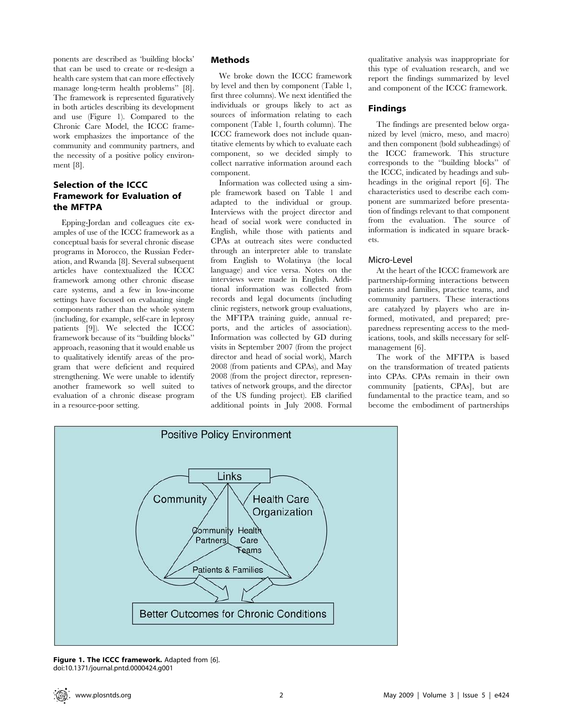ponents are described as 'building blocks' that can be used to create or re-design a health care system that can more effectively manage long-term health problems'' [8]. The framework is represented figuratively in both articles describing its development and use (Figure 1). Compared to the Chronic Care Model, the ICCC framework emphasizes the importance of the community and community partners, and the necessity of a positive policy environment [8].

# Selection of the ICCC Framework for Evaluation of the MFTPA

Epping-Jordan and colleagues cite examples of use of the ICCC framework as a conceptual basis for several chronic disease programs in Morocco, the Russian Federation, and Rwanda [8]. Several subsequent articles have contextualized the ICCC framework among other chronic disease care systems, and a few in low-income settings have focused on evaluating single components rather than the whole system (including, for example, self-care in leprosy patients [9]). We selected the ICCC framework because of its ''building blocks'' approach, reasoning that it would enable us to qualitatively identify areas of the program that were deficient and required strengthening. We were unable to identify another framework so well suited to evaluation of a chronic disease program in a resource-poor setting.

# Methods

We broke down the ICCC framework by level and then by component (Table 1, first three columns). We next identified the individuals or groups likely to act as sources of information relating to each component (Table 1, fourth column). The ICCC framework does not include quantitative elements by which to evaluate each component, so we decided simply to collect narrative information around each component.

Information was collected using a simple framework based on Table 1 and adapted to the individual or group. Interviews with the project director and head of social work were conducted in English, while those with patients and CPAs at outreach sites were conducted through an interpreter able to translate from English to Wolatinya (the local language) and vice versa. Notes on the interviews were made in English. Additional information was collected from records and legal documents (including clinic registers, network group evaluations, the MFTPA training guide, annual reports, and the articles of association). Information was collected by GD during visits in September 2007 (from the project director and head of social work), March 2008 (from patients and CPAs), and May 2008 (from the project director, representatives of network groups, and the director of the US funding project). EB clarified additional points in July 2008. Formal qualitative analysis was inappropriate for this type of evaluation research, and we report the findings summarized by level and component of the ICCC framework.

# Findings

The findings are presented below organized by level (micro, meso, and macro) and then component (bold subheadings) of the ICCC framework. This structure corresponds to the ''building blocks'' of the ICCC, indicated by headings and subheadings in the original report [6]. The characteristics used to describe each component are summarized before presentation of findings relevant to that component from the evaluation. The source of information is indicated in square brackets.

# Micro-Level

At the heart of the ICCC framework are partnership-forming interactions between patients and families, practice teams, and community partners. These interactions are catalyzed by players who are informed, motivated, and prepared; preparedness representing access to the medications, tools, and skills necessary for selfmanagement [6].

The work of the MFTPA is based on the transformation of treated patients into CPAs. CPAs remain in their own community [patients, CPAs], but are fundamental to the practice team, and so become the embodiment of partnerships



Figure 1. The ICCC framework. Adapted from [6]. doi:10.1371/journal.pntd.0000424.g001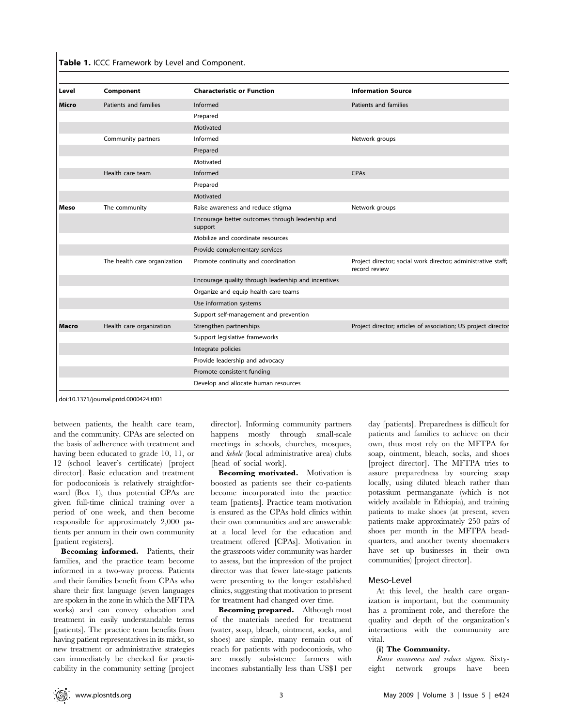Table 1. ICCC Framework by Level and Component.

| Level | Component                    | <b>Characteristic or Function</b>                           | <b>Information Source</b>                                                      |
|-------|------------------------------|-------------------------------------------------------------|--------------------------------------------------------------------------------|
| Micro | Patients and families        | Informed                                                    | Patients and families                                                          |
|       |                              | Prepared                                                    |                                                                                |
|       |                              | Motivated                                                   |                                                                                |
|       | Community partners           | Informed                                                    | Network groups                                                                 |
|       |                              | Prepared                                                    |                                                                                |
|       |                              | Motivated                                                   |                                                                                |
|       | Health care team             | Informed                                                    | CPAs                                                                           |
|       |                              | Prepared                                                    |                                                                                |
|       |                              | Motivated                                                   |                                                                                |
| Meso  | The community                | Raise awareness and reduce stigma                           | Network groups                                                                 |
|       |                              | Encourage better outcomes through leadership and<br>support |                                                                                |
|       |                              | Mobilize and coordinate resources                           |                                                                                |
|       |                              | Provide complementary services                              |                                                                                |
|       | The health care organization | Promote continuity and coordination                         | Project director; social work director; administrative staff;<br>record review |
|       |                              | Encourage quality through leadership and incentives         |                                                                                |
|       |                              | Organize and equip health care teams                        |                                                                                |
|       |                              | Use information systems                                     |                                                                                |
|       |                              | Support self-management and prevention                      |                                                                                |
| Macro | Health care organization     | Strengthen partnerships                                     | Project director; articles of association; US project director                 |
|       |                              | Support legislative frameworks                              |                                                                                |
|       |                              | Integrate policies                                          |                                                                                |
|       |                              | Provide leadership and advocacy                             |                                                                                |
|       |                              | Promote consistent funding                                  |                                                                                |
|       |                              | Develop and allocate human resources                        |                                                                                |

doi:10.1371/journal.pntd.0000424.t001

between patients, the health care team, and the community. CPAs are selected on the basis of adherence with treatment and having been educated to grade 10, 11, or 12 (school leaver's certificate) [project director]. Basic education and treatment for podoconiosis is relatively straightforward (Box 1), thus potential CPAs are given full-time clinical training over a period of one week, and then become responsible for approximately 2,000 patients per annum in their own community [patient registers].

Becoming informed. Patients, their families, and the practice team become informed in a two-way process. Patients and their families benefit from CPAs who share their first language (seven languages are spoken in the zone in which the MFTPA works) and can convey education and treatment in easily understandable terms [patients]. The practice team benefits from having patient representatives in its midst, so new treatment or administrative strategies can immediately be checked for practicability in the community setting [project director]. Informing community partners happens mostly through small-scale meetings in schools, churches, mosques, and kebele (local administrative area) clubs [head of social work].

Becoming motivated. Motivation is boosted as patients see their co-patients become incorporated into the practice team [patients]. Practice team motivation is ensured as the CPAs hold clinics within their own communities and are answerable at a local level for the education and treatment offered [CPAs]. Motivation in the grassroots wider community was harder to assess, but the impression of the project director was that fewer late-stage patients were presenting to the longer established clinics, suggesting that motivation to present for treatment had changed over time.

Becoming prepared. Although most of the materials needed for treatment (water, soap, bleach, ointment, socks, and shoes) are simple, many remain out of reach for patients with podoconiosis, who are mostly subsistence farmers with incomes substantially less than US\$1 per

day [patients]. Preparedness is difficult for patients and families to achieve on their own, thus most rely on the MFTPA for soap, ointment, bleach, socks, and shoes [project director]. The MFTPA tries to assure preparedness by sourcing soap locally, using diluted bleach rather than potassium permanganate (which is not widely available in Ethiopia), and training patients to make shoes (at present, seven patients make approximately 250 pairs of shoes per month in the MFTPA headquarters, and another twenty shoemakers have set up businesses in their own communities) [project director].

#### Meso-Level

At this level, the health care organization is important, but the community has a prominent role, and therefore the quality and depth of the organization's interactions with the community are vital.

#### (i) The Community.

Raise awareness and reduce stigma. Sixtyeight network groups have been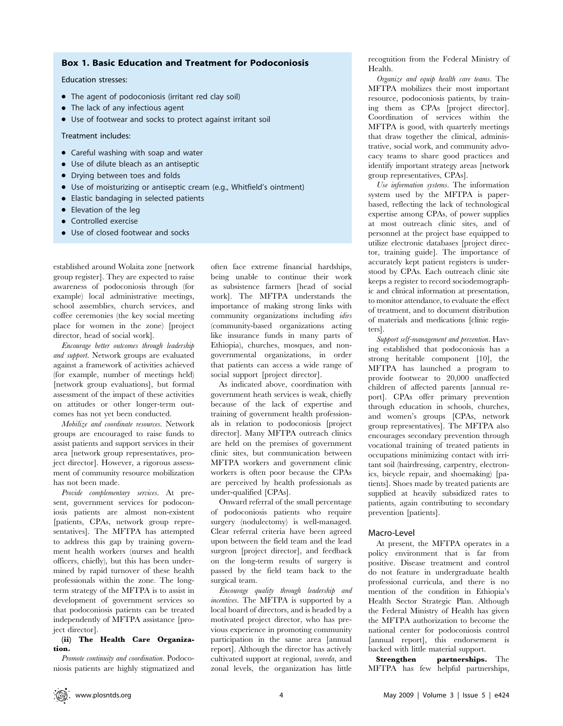### Box 1. Basic Education and Treatment for Podoconiosis

Education stresses:

- $\bullet$  The agent of podoconiosis (irritant red clay soil)
- $\bullet$  The lack of any infectious agent
- Use of footwear and socks to protect against irritant soil

Treatment includes:

- Careful washing with soap and water
- Use of dilute bleach as an antiseptic
- Drying between toes and folds
- Use of moisturizing or antiseptic cream (e.g., Whitfield's ointment)
- Elastic bandaging in selected patients
- $\bullet$  Elevation of the leg
- $\bullet$  Controlled exercise
- Use of closed footwear and socks

established around Wolaita zone [network group register]. They are expected to raise awareness of podoconiosis through (for example) local administrative meetings, school assemblies, church services, and coffee ceremonies (the key social meeting place for women in the zone) [project director, head of social work].

Encourage better outcomes through leadership and support. Network groups are evaluated against a framework of activities achieved (for example, number of meetings held) [network group evaluations], but formal assessment of the impact of these activities on attitudes or other longer-term outcomes has not yet been conducted.

Mobilize and coordinate resources. Network groups are encouraged to raise funds to assist patients and support services in their area [network group representatives, project director]. However, a rigorous assessment of community resource mobilization has not been made.

Provide complementary services. At present, government services for podoconiosis patients are almost non-existent [patients, CPAs, network group representatives]. The MFTPA has attempted to address this gap by training government health workers (nurses and health officers, chiefly), but this has been undermined by rapid turnover of these health professionals within the zone. The longterm strategy of the MFTPA is to assist in development of government services so that podoconiosis patients can be treated independently of MFTPA assistance [project director].

#### (ii) The Health Care Organization.

Promote continuity and coordination. Podoconiosis patients are highly stigmatized and often face extreme financial hardships, being unable to continue their work as subsistence farmers [head of social work]. The MFTPA understands the importance of making strong links with community organizations including idirs (community-based organizations acting like insurance funds in many parts of Ethiopia), churches, mosques, and nongovernmental organizations, in order that patients can access a wide range of social support [project director].

As indicated above, coordination with government heath services is weak, chiefly because of the lack of expertise and training of government health professionals in relation to podoconiosis [project director]. Many MFTPA outreach clinics are held on the premises of government clinic sites, but communication between MFTPA workers and government clinic workers is often poor because the CPAs are perceived by health professionals as under-qualified [CPAs].

Onward referral of the small percentage of podoconiosis patients who require surgery (nodulectomy) is well-managed. Clear referral criteria have been agreed upon between the field team and the lead surgeon [project director], and feedback on the long-term results of surgery is passed by the field team back to the surgical team.

Encourage quality through leadership and incentives. The MFTPA is supported by a local board of directors, and is headed by a motivated project director, who has previous experience in promoting community participation in the same area [annual report]. Although the director has actively cultivated support at regional, woreda, and zonal levels, the organization has little

recognition from the Federal Ministry of Health.

Organize and equip health care teams. The MFTPA mobilizes their most important resource, podoconiosis patients, by training them as CPAs [project director]. Coordination of services within the MFTPA is good, with quarterly meetings that draw together the clinical, administrative, social work, and community advocacy teams to share good practices and identify important strategy areas [network group representatives, CPAs].

Use information systems. The information system used by the MFTPA is paperbased, reflecting the lack of technological expertise among CPAs, of power supplies at most outreach clinic sites, and of personnel at the project base equipped to utilize electronic databases [project director, training guide]. The importance of accurately kept patient registers is understood by CPAs. Each outreach clinic site keeps a register to record sociodemographic and clinical information at presentation, to monitor attendance, to evaluate the effect of treatment, and to document distribution of materials and medications [clinic registers].

Support self-management and prevention. Having established that podoconiosis has a strong heritable component [10], the MFTPA has launched a program to provide footwear to 20,000 unaffected children of affected parents [annual report]. CPAs offer primary prevention through education in schools, churches, and women's groups [CPAs, network group representatives]. The MFTPA also encourages secondary prevention through vocational training of treated patients in occupations minimizing contact with irritant soil (hairdressing, carpentry, electronics, bicycle repair, and shoemaking) [patients]. Shoes made by treated patients are supplied at heavily subsidized rates to patients, again contributing to secondary prevention [patients].

#### Macro-Level

At present, the MFTPA operates in a policy environment that is far from positive. Disease treatment and control do not feature in undergraduate health professional curricula, and there is no mention of the condition in Ethiopia's Health Sector Strategic Plan. Although the Federal Ministry of Health has given the MFTPA authorization to become the national center for podoconiosis control [annual report], this endorsement is backed with little material support.

Strengthen partnerships. The MFTPA has few helpful partnerships,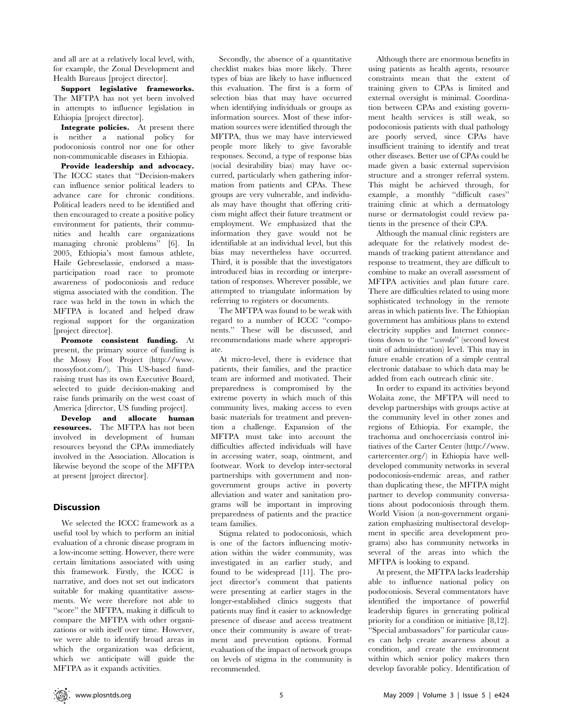and all are at a relatively local level, with, for example, the Zonal Development and Health Bureaus [project director].

Support legislative frameworks. The MFTPA has not yet been involved in attempts to influence legislation in Ethiopia [project director].

Integrate policies. At present there is neither a national policy for podoconiosis control nor one for other non-communicable diseases in Ethiopia.

Provide leadership and advocacy. The ICCC states that ''Decision-makers can influence senior political leaders to advance care for chronic conditions. Political leaders need to be identified and then encouraged to create a positive policy environment for patients, their communities and health care organizations managing chronic problems'' [6]. In 2005, Ethiopia's most famous athlete, Haile Gebreselassie, endorsed a massparticipation road race to promote awareness of podoconiosis and reduce stigma associated with the condition. The race was held in the town in which the MFTPA is located and helped draw regional support for the organization [project director].

Promote consistent funding. At present, the primary source of funding is the Mossy Foot Project (http://www. mossyfoot.com/). This US-based fundraising trust has its own Executive Board, selected to guide decision-making and raise funds primarily on the west coast of America [director, US funding project].

Develop and allocate human resources. The MFTPA has not been involved in development of human resources beyond the CPAs immediately involved in the Association. Allocation is likewise beyond the scope of the MFTPA at present [project director].

## **Discussion**

We selected the ICCC framework as a useful tool by which to perform an initial evaluation of a chronic disease program in a low-income setting. However, there were certain limitations associated with using this framework. Firstly, the ICCC is narrative, and does not set out indicators suitable for making quantitative assessments. We were therefore not able to ''score'' the MFTPA, making it difficult to compare the MFTPA with other organizations or with itself over time. However, we were able to identify broad areas in which the organization was deficient, which we anticipate will guide the MFTPA as it expands activities.

Secondly, the absence of a quantitative checklist makes bias more likely. Three types of bias are likely to have influenced this evaluation. The first is a form of selection bias that may have occurred when identifying individuals or groups as information sources. Most of these information sources were identified through the MFTPA, thus we may have interviewed people more likely to give favorable responses. Second, a type of response bias (social desirability bias) may have occurred, particularly when gathering information from patients and CPAs. These groups are very vulnerable, and individuals may have thought that offering criticism might affect their future treatment or employment. We emphasized that the information they gave would not be identifiable at an individual level, but this bias may nevertheless have occurred. Third, it is possible that the investigators introduced bias in recording or interpretation of responses. Wherever possible, we attempted to triangulate information by referring to registers or documents.

The MFTPA was found to be weak with regard to a number of ICCC ''components.'' These will be discussed, and recommendations made where appropriate.

At micro-level, there is evidence that patients, their families, and the practice team are informed and motivated. Their preparedness is compromised by the extreme poverty in which much of this community lives, making access to even basic materials for treatment and prevention a challenge. Expansion of the MFTPA must take into account the difficulties affected individuals will have in accessing water, soap, ointment, and footwear. Work to develop inter-sectoral partnerships with government and nongovernment groups active in poverty alleviation and water and sanitation programs will be important in improving preparedness of patients and the practice team families.

Stigma related to podoconiosis, which is one of the factors influencing motivation within the wider community, was investigated in an earlier study, and found to be widespread [11]. The project director's comment that patients were presenting at earlier stages in the longer-established clinics suggests that patients may find it easier to acknowledge presence of disease and access treatment once their community is aware of treatment and prevention options. Formal evaluation of the impact of network groups on levels of stigma in the community is recommended.

Although there are enormous benefits in using patients as health agents, resource constraints mean that the extent of training given to CPAs is limited and external oversight is minimal. Coordination between CPAs and existing government health services is still weak, so podoconiosis patients with dual pathology are poorly served, since CPAs have insufficient training to identify and treat other diseases. Better use of CPAs could be made given a basic external supervision structure and a stronger referral system. This might be achieved through, for example, a monthly ''difficult cases'' training clinic at which a dermatology nurse or dermatologist could review patients in the presence of their CPA.

Although the manual clinic registers are adequate for the relatively modest demands of tracking patient attendance and response to treatment, they are difficult to combine to make an overall assessment of MFTPA activities and plan future care. There are difficulties related to using more sophisticated technology in the remote areas in which patients live. The Ethiopian government has ambitious plans to extend electricity supplies and Internet connections down to the ''woreda'' (second lowest unit of administration) level. This may in future enable creation of a simple central electronic database to which data may be added from each outreach clinic site.

In order to expand its activities beyond Wolaita zone, the MFTPA will need to develop partnerships with groups active at the community level in other zones and regions of Ethiopia. For example, the trachoma and onchocerciasis control initiatives of the Carter Center (http://www. cartercenter.org/) in Ethiopia have welldeveloped community networks in several podoconiosis-endemic areas, and rather than duplicating these, the MFTPA might partner to develop community conversations about podoconiosis through them. World Vision (a non-government organization emphasizing multisectoral development in specific area development programs) also has community networks in several of the areas into which the MFTPA is looking to expand.

At present, the MFTPA lacks leadership able to influence national policy on podoconiosis. Several commentators have identified the importance of powerful leadership figures in generating political priority for a condition or initiative [8,12]. ''Special ambassadors'' for particular causes can help create awareness about a condition, and create the environment within which senior policy makers then develop favorable policy. Identification of